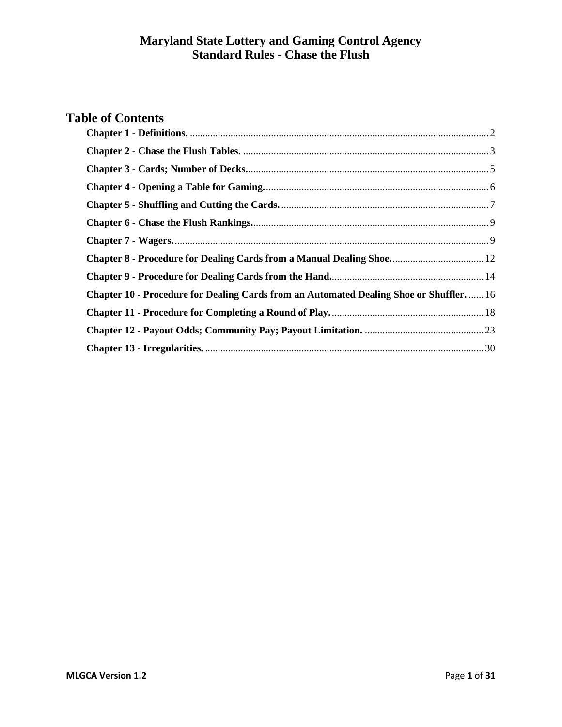# **Table of Contents**

<span id="page-0-0"></span>

| <b>Chapter 8 - Procedure for Dealing Cards from a Manual Dealing Shoe 12</b>                   |  |
|------------------------------------------------------------------------------------------------|--|
|                                                                                                |  |
| <b>Chapter 10 - Procedure for Dealing Cards from an Automated Dealing Shoe or Shuffler.</b> 16 |  |
|                                                                                                |  |
|                                                                                                |  |
|                                                                                                |  |
|                                                                                                |  |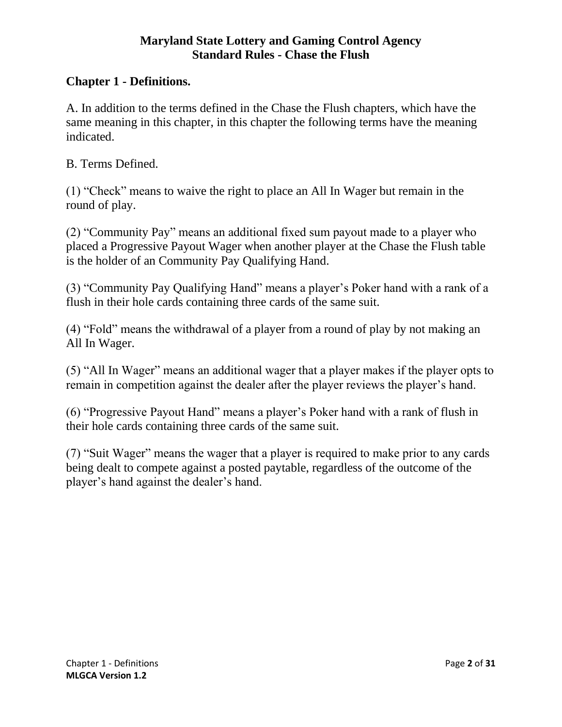#### **Chapter 1 - Definitions.**

A. In addition to the terms defined in the Chase the Flush chapters, which have the same meaning in this chapter, in this chapter the following terms have the meaning indicated.

B. Terms Defined.

(1) "Check" means to waive the right to place an All In Wager but remain in the round of play.

(2) "Community Pay" means an additional fixed sum payout made to a player who placed a Progressive Payout Wager when another player at the Chase the Flush table is the holder of an Community Pay Qualifying Hand.

(3) "Community Pay Qualifying Hand" means a player's Poker hand with a rank of a flush in their hole cards containing three cards of the same suit.

(4) "Fold" means the withdrawal of a player from a round of play by not making an All In Wager.

(5) "All In Wager" means an additional wager that a player makes if the player opts to remain in competition against the dealer after the player reviews the player's hand.

(6) "Progressive Payout Hand" means a player's Poker hand with a rank of flush in their hole cards containing three cards of the same suit.

<span id="page-1-0"></span>(7) "Suit Wager" means the wager that a player is required to make prior to any cards being dealt to compete against a posted paytable, regardless of the outcome of the player's hand against the dealer's hand.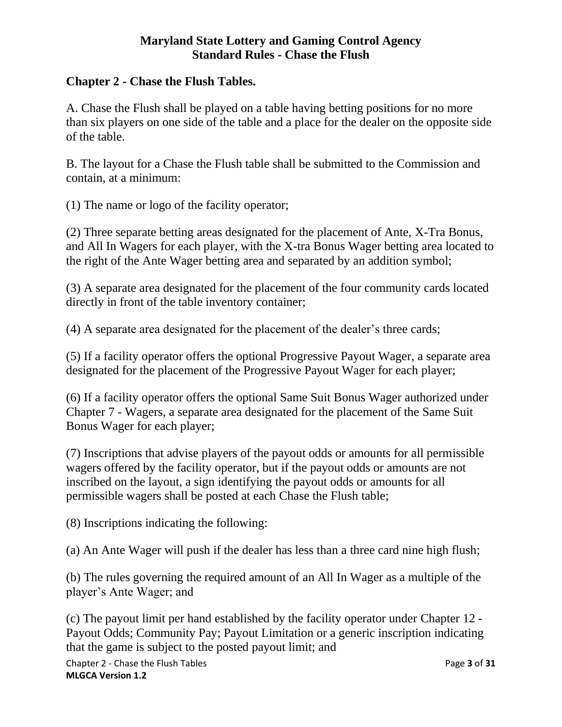#### **Chapter 2 - Chase the Flush Tables.**

A. Chase the Flush shall be played on a table having betting positions for no more than six players on one side of the table and a place for the dealer on the opposite side of the table.

B. The layout for a Chase the Flush table shall be submitted to the Commission and contain, at a minimum:

(1) The name or logo of the facility operator;

(2) Three separate betting areas designated for the placement of Ante, X-Tra Bonus, and All In Wagers for each player, with the X-tra Bonus Wager betting area located to the right of the Ante Wager betting area and separated by an addition symbol;

(3) A separate area designated for the placement of the four community cards located directly in front of the table inventory container;

(4) A separate area designated for the placement of the dealer's three cards;

(5) If a facility operator offers the optional Progressive Payout Wager, a separate area designated for the placement of the Progressive Payout Wager for each player;

(6) If a facility operator offers the optional Same Suit Bonus Wager authorized under Chapter 7 - Wagers, a separate area designated for the placement of the Same Suit Bonus Wager for each player;

(7) Inscriptions that advise players of the payout odds or amounts for all permissible wagers offered by the facility operator, but if the payout odds or amounts are not inscribed on the layout, a sign identifying the payout odds or amounts for all permissible wagers shall be posted at each Chase the Flush table;

(8) Inscriptions indicating the following:

(a) An Ante Wager will push if the dealer has less than a three card nine high flush;

(b) The rules governing the required amount of an All In Wager as a multiple of the player's Ante Wager; and

(c) The payout limit per hand established by the facility operator under Chapter 12 - Payout Odds; Community Pay; Payout Limitation or a generic inscription indicating that the game is subject to the posted payout limit; and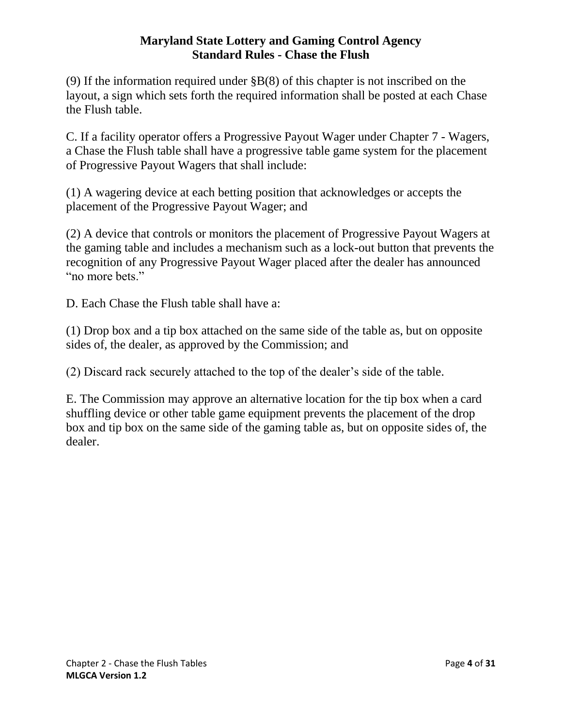(9) If the information required under §B(8) of this chapter is not inscribed on the layout, a sign which sets forth the required information shall be posted at each Chase the Flush table.

C. If a facility operator offers a Progressive Payout Wager under Chapter 7 - Wagers, a Chase the Flush table shall have a progressive table game system for the placement of Progressive Payout Wagers that shall include:

(1) A wagering device at each betting position that acknowledges or accepts the placement of the Progressive Payout Wager; and

(2) A device that controls or monitors the placement of Progressive Payout Wagers at the gaming table and includes a mechanism such as a lock-out button that prevents the recognition of any Progressive Payout Wager placed after the dealer has announced "no more bets."

D. Each Chase the Flush table shall have a:

(1) Drop box and a tip box attached on the same side of the table as, but on opposite sides of, the dealer, as approved by the Commission; and

(2) Discard rack securely attached to the top of the dealer's side of the table.

<span id="page-3-0"></span>E. The Commission may approve an alternative location for the tip box when a card shuffling device or other table game equipment prevents the placement of the drop box and tip box on the same side of the gaming table as, but on opposite sides of, the dealer.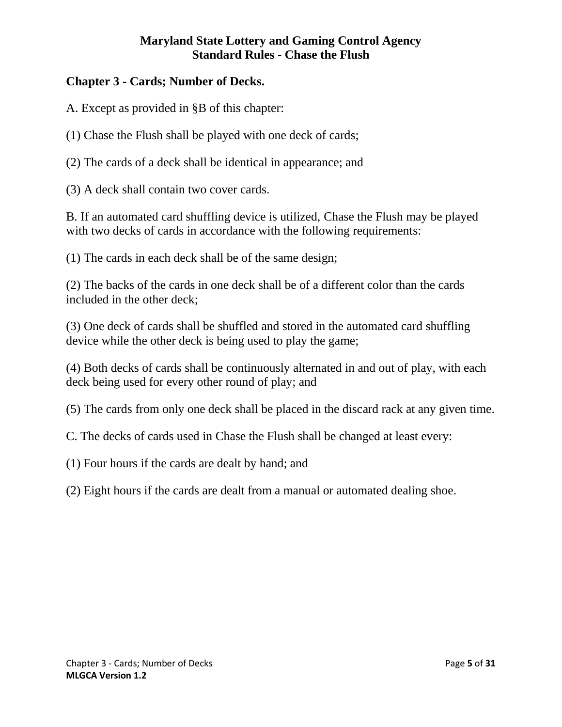# **Chapter 3 - Cards; Number of Decks.**

A. Except as provided in §B of this chapter:

(1) Chase the Flush shall be played with one deck of cards;

(2) The cards of a deck shall be identical in appearance; and

(3) A deck shall contain two cover cards.

B. If an automated card shuffling device is utilized, Chase the Flush may be played with two decks of cards in accordance with the following requirements:

(1) The cards in each deck shall be of the same design;

(2) The backs of the cards in one deck shall be of a different color than the cards included in the other deck;

(3) One deck of cards shall be shuffled and stored in the automated card shuffling device while the other deck is being used to play the game;

(4) Both decks of cards shall be continuously alternated in and out of play, with each deck being used for every other round of play; and

(5) The cards from only one deck shall be placed in the discard rack at any given time.

C. The decks of cards used in Chase the Flush shall be changed at least every:

(1) Four hours if the cards are dealt by hand; and

<span id="page-4-0"></span>(2) Eight hours if the cards are dealt from a manual or automated dealing shoe.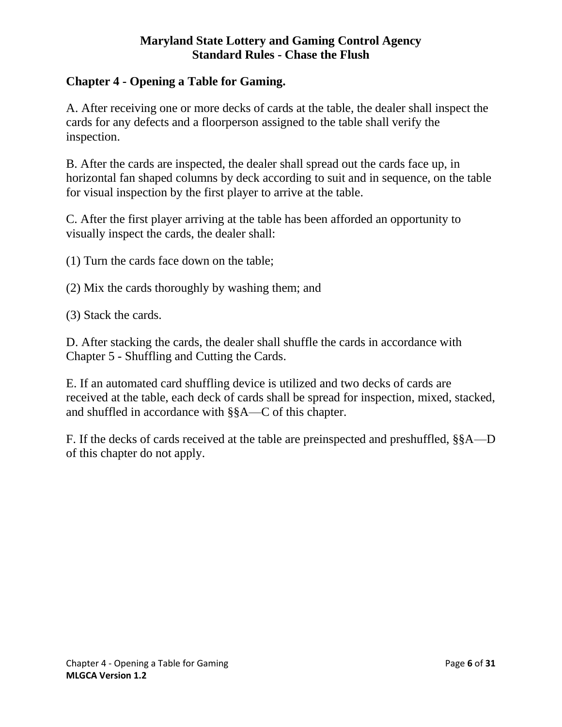# **Chapter 4 - Opening a Table for Gaming.**

A. After receiving one or more decks of cards at the table, the dealer shall inspect the cards for any defects and a floorperson assigned to the table shall verify the inspection.

B. After the cards are inspected, the dealer shall spread out the cards face up, in horizontal fan shaped columns by deck according to suit and in sequence, on the table for visual inspection by the first player to arrive at the table.

C. After the first player arriving at the table has been afforded an opportunity to visually inspect the cards, the dealer shall:

- (1) Turn the cards face down on the table;
- (2) Mix the cards thoroughly by washing them; and
- (3) Stack the cards.

D. After stacking the cards, the dealer shall shuffle the cards in accordance with Chapter 5 - Shuffling and Cutting the Cards.

E. If an automated card shuffling device is utilized and two decks of cards are received at the table, each deck of cards shall be spread for inspection, mixed, stacked, and shuffled in accordance with §§A—C of this chapter.

<span id="page-5-0"></span>F. If the decks of cards received at the table are preinspected and preshuffled, §§A—D of this chapter do not apply.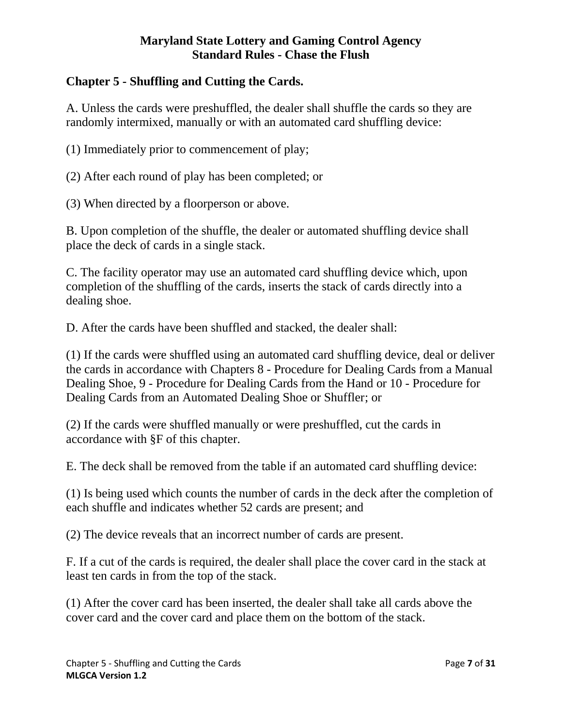# **Chapter 5 - Shuffling and Cutting the Cards.**

A. Unless the cards were preshuffled, the dealer shall shuffle the cards so they are randomly intermixed, manually or with an automated card shuffling device:

(1) Immediately prior to commencement of play;

(2) After each round of play has been completed; or

(3) When directed by a floorperson or above.

B. Upon completion of the shuffle, the dealer or automated shuffling device shall place the deck of cards in a single stack.

C. The facility operator may use an automated card shuffling device which, upon completion of the shuffling of the cards, inserts the stack of cards directly into a dealing shoe.

D. After the cards have been shuffled and stacked, the dealer shall:

(1) If the cards were shuffled using an automated card shuffling device, deal or deliver the cards in accordance with Chapters 8 - Procedure for Dealing Cards from a Manual Dealing Shoe, 9 - Procedure for Dealing Cards from the Hand or 10 - Procedure for Dealing Cards from an Automated Dealing Shoe or Shuffler; or

(2) If the cards were shuffled manually or were preshuffled, cut the cards in accordance with §F of this chapter.

E. The deck shall be removed from the table if an automated card shuffling device:

(1) Is being used which counts the number of cards in the deck after the completion of each shuffle and indicates whether 52 cards are present; and

(2) The device reveals that an incorrect number of cards are present.

F. If a cut of the cards is required, the dealer shall place the cover card in the stack at least ten cards in from the top of the stack.

(1) After the cover card has been inserted, the dealer shall take all cards above the cover card and the cover card and place them on the bottom of the stack.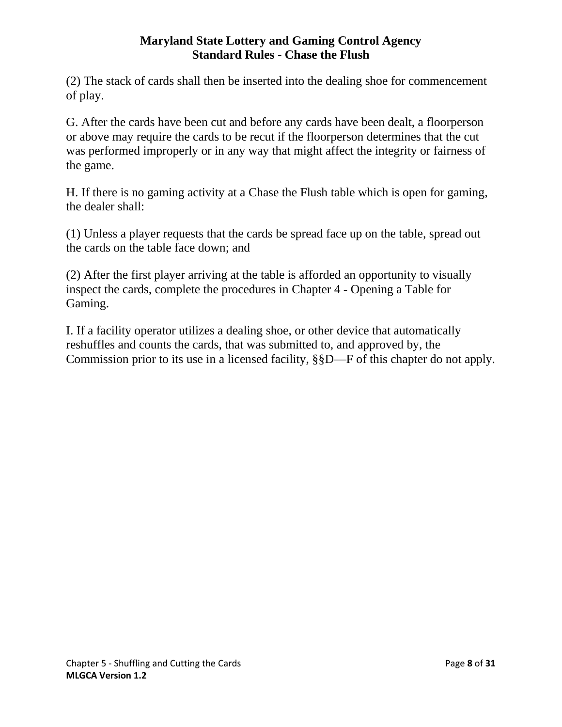(2) The stack of cards shall then be inserted into the dealing shoe for commencement of play.

G. After the cards have been cut and before any cards have been dealt, a floorperson or above may require the cards to be recut if the floorperson determines that the cut was performed improperly or in any way that might affect the integrity or fairness of the game.

H. If there is no gaming activity at a Chase the Flush table which is open for gaming, the dealer shall:

(1) Unless a player requests that the cards be spread face up on the table, spread out the cards on the table face down; and

(2) After the first player arriving at the table is afforded an opportunity to visually inspect the cards, complete the procedures in Chapter 4 - Opening a Table for Gaming.

<span id="page-7-0"></span>I. If a facility operator utilizes a dealing shoe, or other device that automatically reshuffles and counts the cards, that was submitted to, and approved by, the Commission prior to its use in a licensed facility, §§D—F of this chapter do not apply.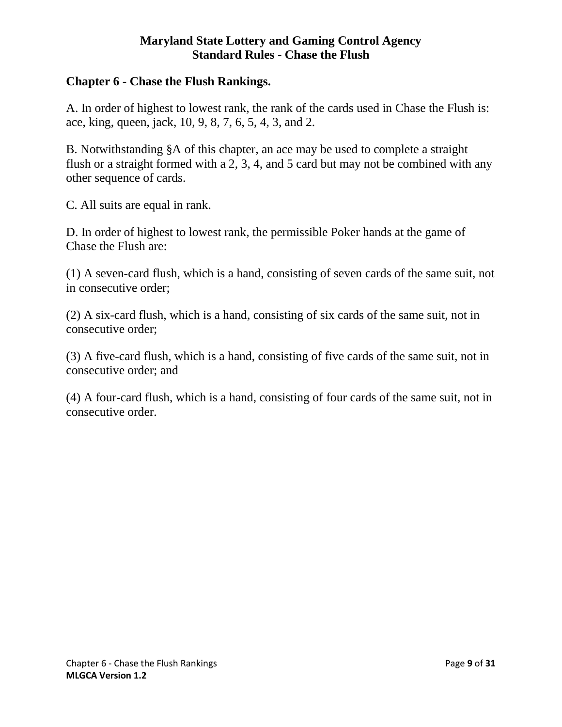#### **Chapter 6 - Chase the Flush Rankings.**

A. In order of highest to lowest rank, the rank of the cards used in Chase the Flush is: ace, king, queen, jack, 10, 9, 8, 7, 6, 5, 4, 3, and 2.

B. Notwithstanding §A of this chapter, an ace may be used to complete a straight flush or a straight formed with a 2, 3, 4, and 5 card but may not be combined with any other sequence of cards.

C. All suits are equal in rank.

D. In order of highest to lowest rank, the permissible Poker hands at the game of Chase the Flush are:

<span id="page-8-0"></span>(1) A seven-card flush, which is a hand, consisting of seven cards of the same suit, not in consecutive order;

(2) A six-card flush, which is a hand, consisting of six cards of the same suit, not in consecutive order;

(3) A five-card flush, which is a hand, consisting of five cards of the same suit, not in consecutive order; and

(4) A four-card flush, which is a hand, consisting of four cards of the same suit, not in consecutive order.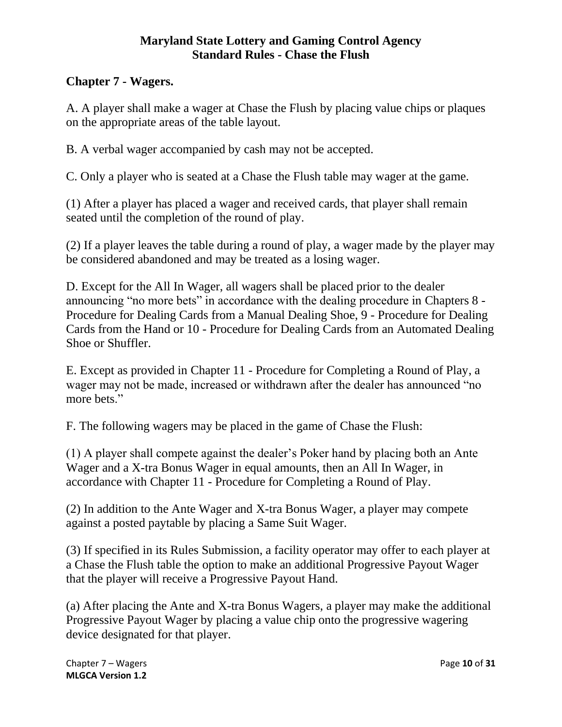# **Chapter 7 - Wagers.**

A. A player shall make a wager at Chase the Flush by placing value chips or plaques on the appropriate areas of the table layout.

B. A verbal wager accompanied by cash may not be accepted.

C. Only a player who is seated at a Chase the Flush table may wager at the game.

(1) After a player has placed a wager and received cards, that player shall remain seated until the completion of the round of play.

(2) If a player leaves the table during a round of play, a wager made by the player may be considered abandoned and may be treated as a losing wager.

D. Except for the All In Wager, all wagers shall be placed prior to the dealer announcing "no more bets" in accordance with the dealing procedure in Chapters 8 - Procedure for Dealing Cards from a Manual Dealing Shoe, 9 - Procedure for Dealing Cards from the Hand or 10 - Procedure for Dealing Cards from an Automated Dealing Shoe or Shuffler.

E. Except as provided in Chapter 11 - Procedure for Completing a Round of Play, a wager may not be made, increased or withdrawn after the dealer has announced "no more bets."

F. The following wagers may be placed in the game of Chase the Flush:

(1) A player shall compete against the dealer's Poker hand by placing both an Ante Wager and a X-tra Bonus Wager in equal amounts, then an All In Wager, in accordance with Chapter 11 - Procedure for Completing a Round of Play.

(2) In addition to the Ante Wager and X-tra Bonus Wager, a player may compete against a posted paytable by placing a Same Suit Wager.

(3) If specified in its Rules Submission, a facility operator may offer to each player at a Chase the Flush table the option to make an additional Progressive Payout Wager that the player will receive a Progressive Payout Hand.

(a) After placing the Ante and X-tra Bonus Wagers, a player may make the additional Progressive Payout Wager by placing a value chip onto the progressive wagering device designated for that player.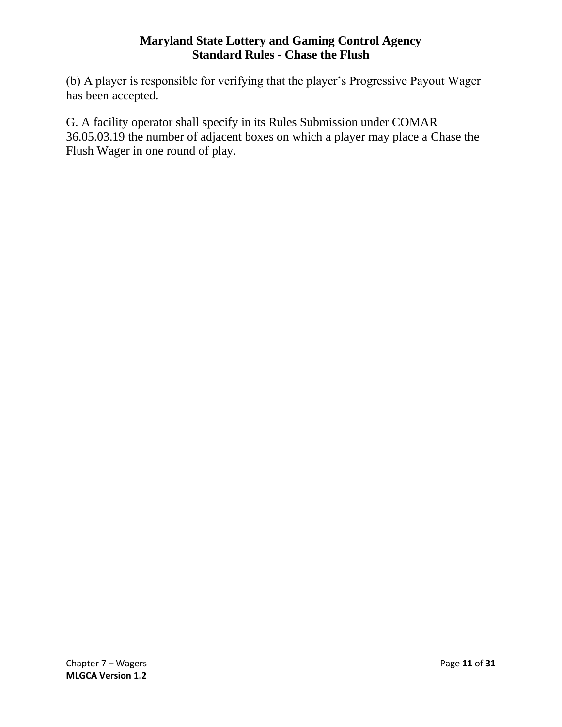(b) A player is responsible for verifying that the player's Progressive Payout Wager has been accepted.

<span id="page-10-0"></span>G. A facility operator shall specify in its Rules Submission under COMAR 36.05.03.19 the number of adjacent boxes on which a player may place a Chase the Flush Wager in one round of play.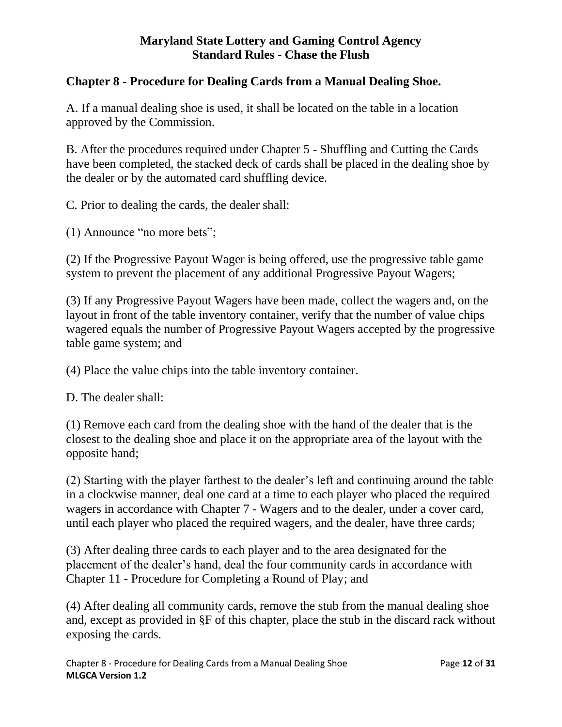# **Chapter 8 - Procedure for Dealing Cards from a Manual Dealing Shoe.**

A. If a manual dealing shoe is used, it shall be located on the table in a location approved by the Commission.

B. After the procedures required under Chapter 5 - Shuffling and Cutting the Cards have been completed, the stacked deck of cards shall be placed in the dealing shoe by the dealer or by the automated card shuffling device.

C. Prior to dealing the cards, the dealer shall:

(1) Announce "no more bets";

(2) If the Progressive Payout Wager is being offered, use the progressive table game system to prevent the placement of any additional Progressive Payout Wagers;

(3) If any Progressive Payout Wagers have been made, collect the wagers and, on the layout in front of the table inventory container, verify that the number of value chips wagered equals the number of Progressive Payout Wagers accepted by the progressive table game system; and

(4) Place the value chips into the table inventory container.

D. The dealer shall:

(1) Remove each card from the dealing shoe with the hand of the dealer that is the closest to the dealing shoe and place it on the appropriate area of the layout with the opposite hand;

(2) Starting with the player farthest to the dealer's left and continuing around the table in a clockwise manner, deal one card at a time to each player who placed the required wagers in accordance with Chapter 7 - Wagers and to the dealer, under a cover card, until each player who placed the required wagers, and the dealer, have three cards;

(3) After dealing three cards to each player and to the area designated for the placement of the dealer's hand, deal the four community cards in accordance with Chapter 11 - Procedure for Completing a Round of Play; and

(4) After dealing all community cards, remove the stub from the manual dealing shoe and, except as provided in §F of this chapter, place the stub in the discard rack without exposing the cards.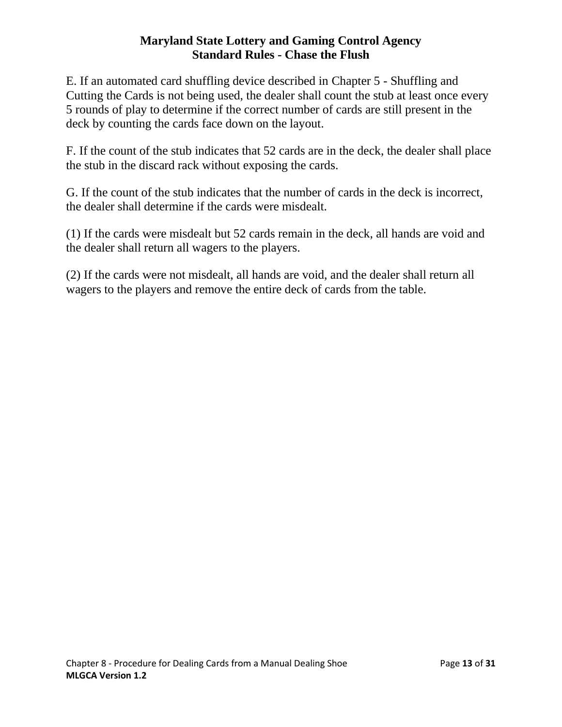E. If an automated card shuffling device described in Chapter 5 - Shuffling and Cutting the Cards is not being used, the dealer shall count the stub at least once every 5 rounds of play to determine if the correct number of cards are still present in the deck by counting the cards face down on the layout.

F. If the count of the stub indicates that 52 cards are in the deck, the dealer shall place the stub in the discard rack without exposing the cards.

G. If the count of the stub indicates that the number of cards in the deck is incorrect, the dealer shall determine if the cards were misdealt.

(1) If the cards were misdealt but 52 cards remain in the deck, all hands are void and the dealer shall return all wagers to the players.

<span id="page-12-0"></span>(2) If the cards were not misdealt, all hands are void, and the dealer shall return all wagers to the players and remove the entire deck of cards from the table.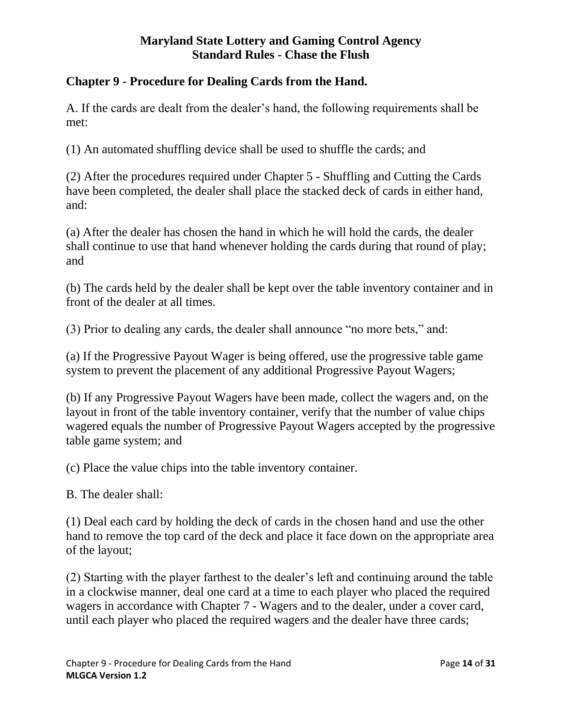# **Chapter 9 - Procedure for Dealing Cards from the Hand.**

A. If the cards are dealt from the dealer's hand, the following requirements shall be met:

(1) An automated shuffling device shall be used to shuffle the cards; and

(2) After the procedures required under Chapter 5 - Shuffling and Cutting the Cards have been completed, the dealer shall place the stacked deck of cards in either hand, and:

(a) After the dealer has chosen the hand in which he will hold the cards, the dealer shall continue to use that hand whenever holding the cards during that round of play; and

(b) The cards held by the dealer shall be kept over the table inventory container and in front of the dealer at all times.

(3) Prior to dealing any cards, the dealer shall announce "no more bets," and:

(a) If the Progressive Payout Wager is being offered, use the progressive table game system to prevent the placement of any additional Progressive Payout Wagers;

(b) If any Progressive Payout Wagers have been made, collect the wagers and, on the layout in front of the table inventory container, verify that the number of value chips wagered equals the number of Progressive Payout Wagers accepted by the progressive table game system; and

(c) Place the value chips into the table inventory container.

B. The dealer shall:

(1) Deal each card by holding the deck of cards in the chosen hand and use the other hand to remove the top card of the deck and place it face down on the appropriate area of the layout;

(2) Starting with the player farthest to the dealer's left and continuing around the table in a clockwise manner, deal one card at a time to each player who placed the required wagers in accordance with Chapter 7 - Wagers and to the dealer, under a cover card, until each player who placed the required wagers and the dealer have three cards;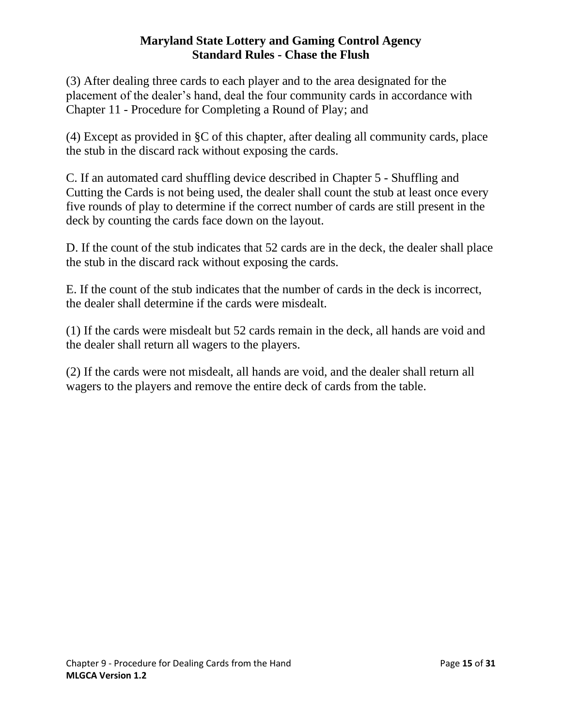(3) After dealing three cards to each player and to the area designated for the placement of the dealer's hand, deal the four community cards in accordance with Chapter 11 - Procedure for Completing a Round of Play; and

(4) Except as provided in §C of this chapter, after dealing all community cards, place the stub in the discard rack without exposing the cards.

C. If an automated card shuffling device described in Chapter 5 - Shuffling and Cutting the Cards is not being used, the dealer shall count the stub at least once every five rounds of play to determine if the correct number of cards are still present in the deck by counting the cards face down on the layout.

D. If the count of the stub indicates that 52 cards are in the deck, the dealer shall place the stub in the discard rack without exposing the cards.

E. If the count of the stub indicates that the number of cards in the deck is incorrect, the dealer shall determine if the cards were misdealt.

(1) If the cards were misdealt but 52 cards remain in the deck, all hands are void and the dealer shall return all wagers to the players.

<span id="page-14-0"></span>(2) If the cards were not misdealt, all hands are void, and the dealer shall return all wagers to the players and remove the entire deck of cards from the table.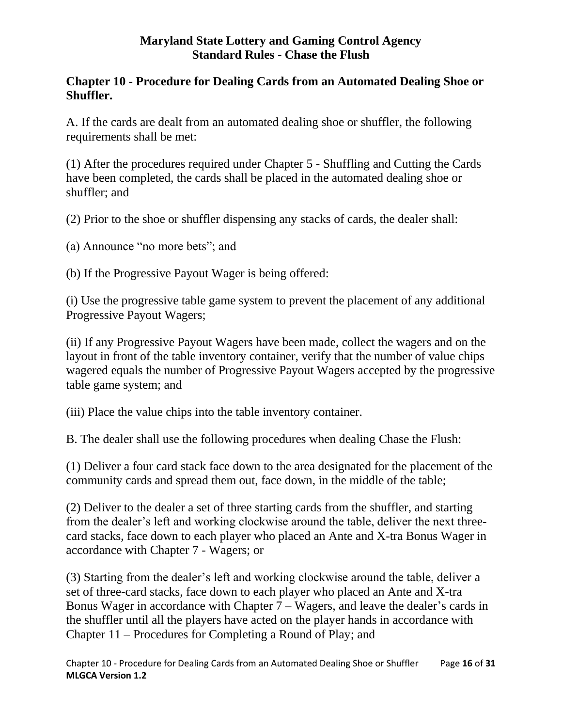# **Chapter 10 - Procedure for Dealing Cards from an Automated Dealing Shoe or Shuffler.**

A. If the cards are dealt from an automated dealing shoe or shuffler, the following requirements shall be met:

(1) After the procedures required under Chapter 5 - Shuffling and Cutting the Cards have been completed, the cards shall be placed in the automated dealing shoe or shuffler; and

(2) Prior to the shoe or shuffler dispensing any stacks of cards, the dealer shall:

(a) Announce "no more bets"; and

(b) If the Progressive Payout Wager is being offered:

(i) Use the progressive table game system to prevent the placement of any additional Progressive Payout Wagers;

(ii) If any Progressive Payout Wagers have been made, collect the wagers and on the layout in front of the table inventory container, verify that the number of value chips wagered equals the number of Progressive Payout Wagers accepted by the progressive table game system; and

(iii) Place the value chips into the table inventory container.

B. The dealer shall use the following procedures when dealing Chase the Flush:

(1) Deliver a four card stack face down to the area designated for the placement of the community cards and spread them out, face down, in the middle of the table;

(2) Deliver to the dealer a set of three starting cards from the shuffler, and starting from the dealer's left and working clockwise around the table, deliver the next threecard stacks, face down to each player who placed an Ante and X-tra Bonus Wager in accordance with Chapter 7 - Wagers; or

(3) Starting from the dealer's left and working clockwise around the table, deliver a set of three-card stacks, face down to each player who placed an Ante and X-tra Bonus Wager in accordance with Chapter 7 – Wagers, and leave the dealer's cards in the shuffler until all the players have acted on the player hands in accordance with Chapter 11 – Procedures for Completing a Round of Play; and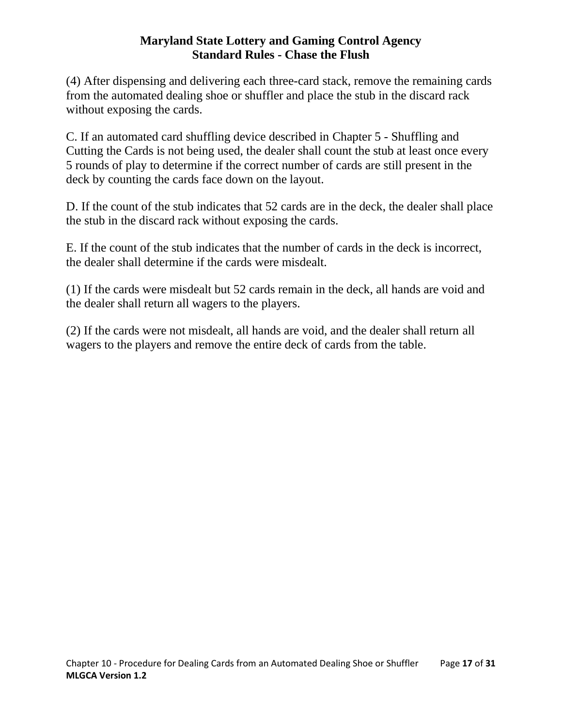(4) After dispensing and delivering each three-card stack, remove the remaining cards from the automated dealing shoe or shuffler and place the stub in the discard rack without exposing the cards.

C. If an automated card shuffling device described in Chapter 5 - Shuffling and Cutting the Cards is not being used, the dealer shall count the stub at least once every 5 rounds of play to determine if the correct number of cards are still present in the deck by counting the cards face down on the layout.

D. If the count of the stub indicates that 52 cards are in the deck, the dealer shall place the stub in the discard rack without exposing the cards.

E. If the count of the stub indicates that the number of cards in the deck is incorrect, the dealer shall determine if the cards were misdealt.

(1) If the cards were misdealt but 52 cards remain in the deck, all hands are void and the dealer shall return all wagers to the players.

<span id="page-16-0"></span>(2) If the cards were not misdealt, all hands are void, and the dealer shall return all wagers to the players and remove the entire deck of cards from the table.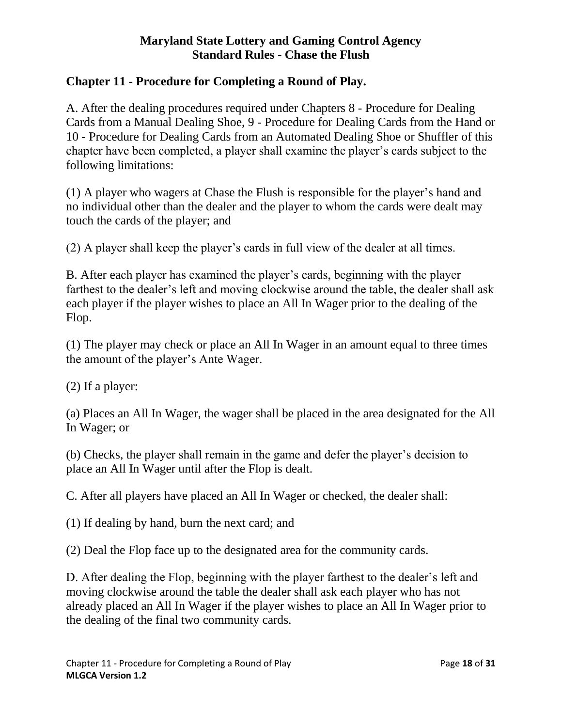# **Chapter 11 - Procedure for Completing a Round of Play.**

A. After the dealing procedures required under Chapters 8 - Procedure for Dealing Cards from a Manual Dealing Shoe, 9 - Procedure for Dealing Cards from the Hand or 10 - Procedure for Dealing Cards from an Automated Dealing Shoe or Shuffler of this chapter have been completed, a player shall examine the player's cards subject to the following limitations:

(1) A player who wagers at Chase the Flush is responsible for the player's hand and no individual other than the dealer and the player to whom the cards were dealt may touch the cards of the player; and

(2) A player shall keep the player's cards in full view of the dealer at all times.

B. After each player has examined the player's cards, beginning with the player farthest to the dealer's left and moving clockwise around the table, the dealer shall ask each player if the player wishes to place an All In Wager prior to the dealing of the Flop.

(1) The player may check or place an All In Wager in an amount equal to three times the amount of the player's Ante Wager.

(2) If a player:

(a) Places an All In Wager, the wager shall be placed in the area designated for the All In Wager; or

(b) Checks, the player shall remain in the game and defer the player's decision to place an All In Wager until after the Flop is dealt.

C. After all players have placed an All In Wager or checked, the dealer shall:

(1) If dealing by hand, burn the next card; and

(2) Deal the Flop face up to the designated area for the community cards.

D. After dealing the Flop, beginning with the player farthest to the dealer's left and moving clockwise around the table the dealer shall ask each player who has not already placed an All In Wager if the player wishes to place an All In Wager prior to the dealing of the final two community cards.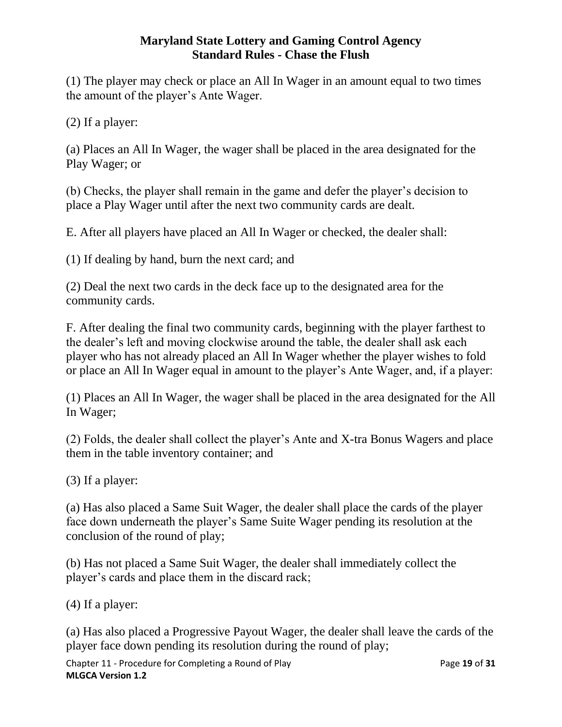(1) The player may check or place an All In Wager in an amount equal to two times the amount of the player's Ante Wager.

(2) If a player:

(a) Places an All In Wager, the wager shall be placed in the area designated for the Play Wager; or

(b) Checks, the player shall remain in the game and defer the player's decision to place a Play Wager until after the next two community cards are dealt.

E. After all players have placed an All In Wager or checked, the dealer shall:

(1) If dealing by hand, burn the next card; and

(2) Deal the next two cards in the deck face up to the designated area for the community cards.

F. After dealing the final two community cards, beginning with the player farthest to the dealer's left and moving clockwise around the table, the dealer shall ask each player who has not already placed an All In Wager whether the player wishes to fold or place an All In Wager equal in amount to the player's Ante Wager, and, if a player:

(1) Places an All In Wager, the wager shall be placed in the area designated for the All In Wager;

(2) Folds, the dealer shall collect the player's Ante and X-tra Bonus Wagers and place them in the table inventory container; and

(3) If a player:

(a) Has also placed a Same Suit Wager, the dealer shall place the cards of the player face down underneath the player's Same Suite Wager pending its resolution at the conclusion of the round of play;

(b) Has not placed a Same Suit Wager, the dealer shall immediately collect the player's cards and place them in the discard rack;

(4) If a player:

(a) Has also placed a Progressive Payout Wager, the dealer shall leave the cards of the player face down pending its resolution during the round of play;

Chapter 11 - Procedure for Completing a Round of Play Page **19** of **31 MLGCA Version 1.2**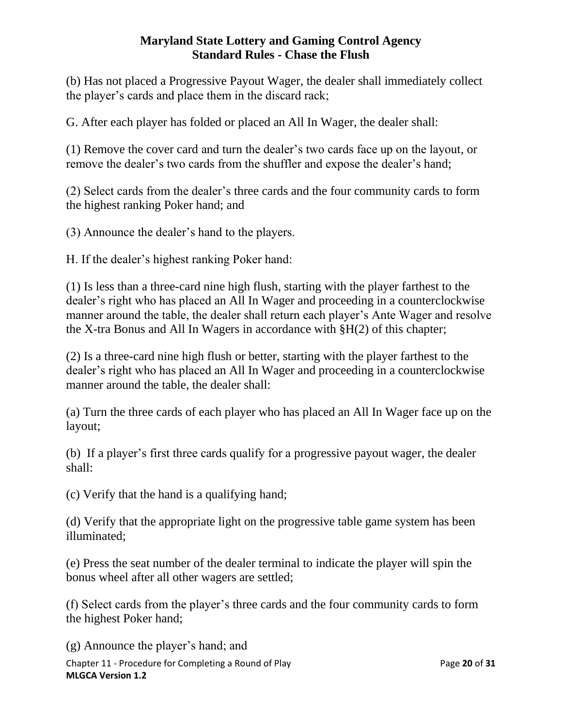(b) Has not placed a Progressive Payout Wager, the dealer shall immediately collect the player's cards and place them in the discard rack;

G. After each player has folded or placed an All In Wager, the dealer shall:

(1) Remove the cover card and turn the dealer's two cards face up on the layout, or remove the dealer's two cards from the shuffler and expose the dealer's hand;

(2) Select cards from the dealer's three cards and the four community cards to form the highest ranking Poker hand; and

(3) Announce the dealer's hand to the players.

H. If the dealer's highest ranking Poker hand:

(1) Is less than a three-card nine high flush, starting with the player farthest to the dealer's right who has placed an All In Wager and proceeding in a counterclockwise manner around the table, the dealer shall return each player's Ante Wager and resolve the X-tra Bonus and All In Wagers in accordance with §H(2) of this chapter;

(2) Is a three-card nine high flush or better, starting with the player farthest to the dealer's right who has placed an All In Wager and proceeding in a counterclockwise manner around the table, the dealer shall:

(a) Turn the three cards of each player who has placed an All In Wager face up on the layout;

(b) If a player's first three cards qualify for a progressive payout wager, the dealer shall:

(c) Verify that the hand is a qualifying hand;

(d) Verify that the appropriate light on the progressive table game system has been illuminated;

(e) Press the seat number of the dealer terminal to indicate the player will spin the bonus wheel after all other wagers are settled;

(f) Select cards from the player's three cards and the four community cards to form the highest Poker hand;

Chapter 11 - Procedure for Completing a Round of Play Page **20** of **31 MLGCA Version 1.2** (g) Announce the player's hand; and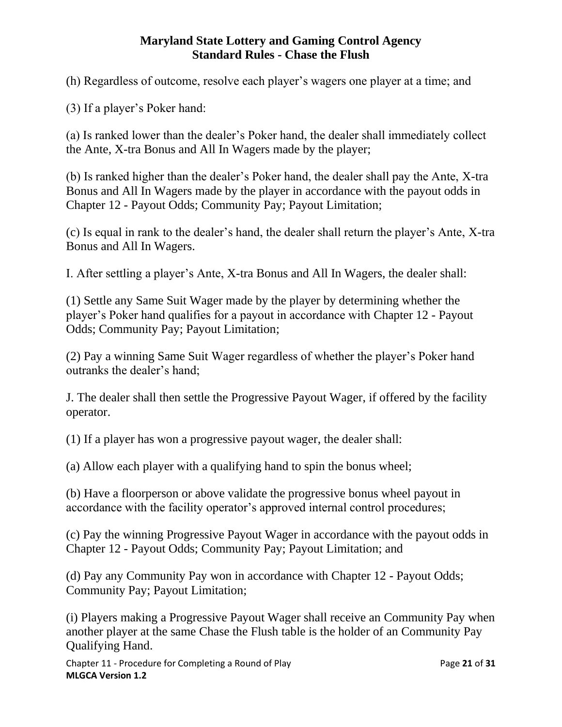(h) Regardless of outcome, resolve each player's wagers one player at a time; and

(3) If a player's Poker hand:

(a) Is ranked lower than the dealer's Poker hand, the dealer shall immediately collect the Ante, X-tra Bonus and All In Wagers made by the player;

(b) Is ranked higher than the dealer's Poker hand, the dealer shall pay the Ante, X-tra Bonus and All In Wagers made by the player in accordance with the payout odds in Chapter 12 - Payout Odds; Community Pay; Payout Limitation;

(c) Is equal in rank to the dealer's hand, the dealer shall return the player's Ante, X-tra Bonus and All In Wagers.

I. After settling a player's Ante, X-tra Bonus and All In Wagers, the dealer shall:

(1) Settle any Same Suit Wager made by the player by determining whether the player's Poker hand qualifies for a payout in accordance with Chapter 12 - Payout Odds; Community Pay; Payout Limitation;

(2) Pay a winning Same Suit Wager regardless of whether the player's Poker hand outranks the dealer's hand;

J. The dealer shall then settle the Progressive Payout Wager, if offered by the facility operator.

(1) If a player has won a progressive payout wager, the dealer shall:

(a) Allow each player with a qualifying hand to spin the bonus wheel;

(b) Have a floorperson or above validate the progressive bonus wheel payout in accordance with the facility operator's approved internal control procedures;

(c) Pay the winning Progressive Payout Wager in accordance with the payout odds in Chapter 12 - Payout Odds; Community Pay; Payout Limitation; and

(d) Pay any Community Pay won in accordance with Chapter 12 - Payout Odds; Community Pay; Payout Limitation;

(i) Players making a Progressive Payout Wager shall receive an Community Pay when another player at the same Chase the Flush table is the holder of an Community Pay Qualifying Hand.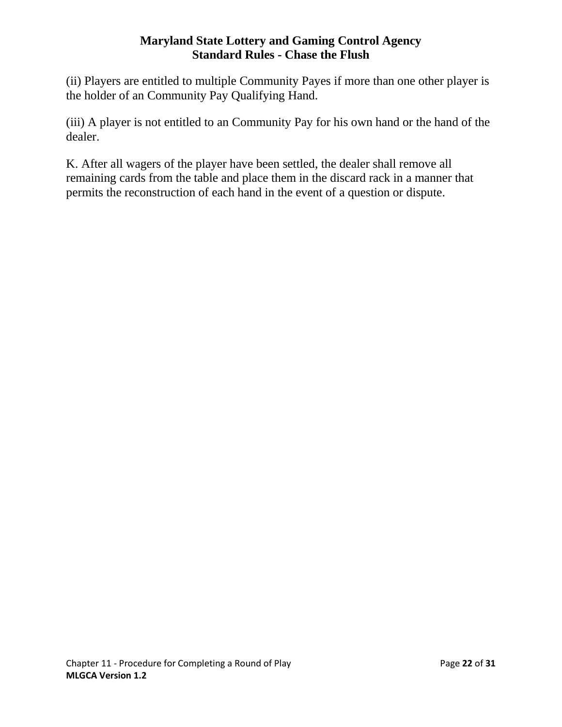(ii) Players are entitled to multiple Community Payes if more than one other player is the holder of an Community Pay Qualifying Hand.

(iii) A player is not entitled to an Community Pay for his own hand or the hand of the dealer.

<span id="page-21-0"></span>K. After all wagers of the player have been settled, the dealer shall remove all remaining cards from the table and place them in the discard rack in a manner that permits the reconstruction of each hand in the event of a question or dispute.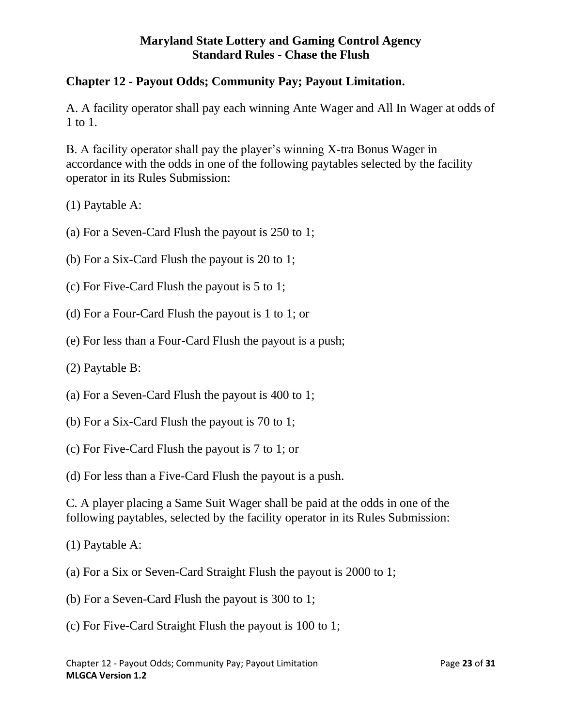# **Chapter 12 - Payout Odds; Community Pay; Payout Limitation.**

A. A facility operator shall pay each winning Ante Wager and All In Wager at odds of 1 to 1.

B. A facility operator shall pay the player's winning X-tra Bonus Wager in accordance with the odds in one of the following paytables selected by the facility operator in its Rules Submission:

(1) Paytable A:

- (a) For a Seven-Card Flush the payout is 250 to 1;
- (b) For a Six-Card Flush the payout is 20 to 1;
- (c) For Five-Card Flush the payout is 5 to 1;
- (d) For a Four-Card Flush the payout is 1 to 1; or
- (e) For less than a Four-Card Flush the payout is a push;
- (2) Paytable B:
- (a) For a Seven-Card Flush the payout is 400 to 1;
- (b) For a Six-Card Flush the payout is 70 to 1;
- (c) For Five-Card Flush the payout is 7 to 1; or

(d) For less than a Five-Card Flush the payout is a push.

C. A player placing a Same Suit Wager shall be paid at the odds in one of the following paytables, selected by the facility operator in its Rules Submission:

- (1) Paytable A:
- (a) For a Six or Seven-Card Straight Flush the payout is 2000 to 1;
- (b) For a Seven-Card Flush the payout is 300 to 1;
- (c) For Five-Card Straight Flush the payout is 100 to 1;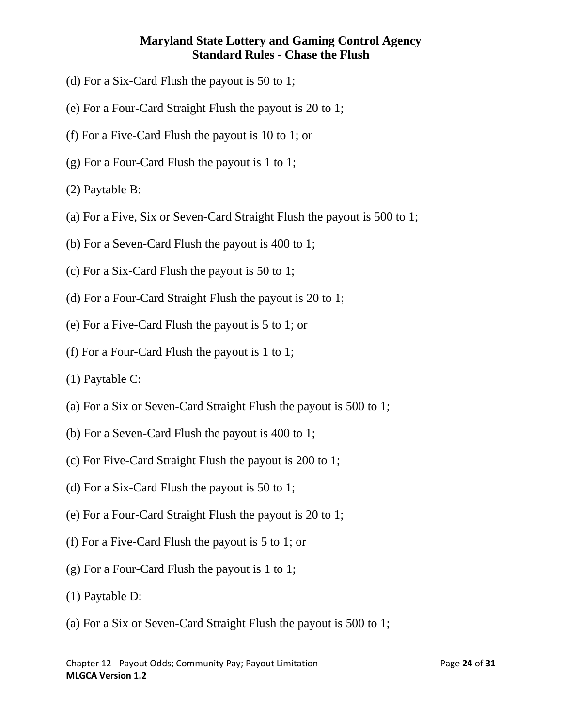- (d) For a Six-Card Flush the payout is 50 to 1;
- (e) For a Four-Card Straight Flush the payout is 20 to 1;
- (f) For a Five-Card Flush the payout is 10 to 1; or
- (g) For a Four-Card Flush the payout is 1 to 1;
- (2) Paytable B:
- (a) For a Five, Six or Seven-Card Straight Flush the payout is 500 to 1;
- (b) For a Seven-Card Flush the payout is 400 to 1;
- (c) For a Six-Card Flush the payout is 50 to 1;
- (d) For a Four-Card Straight Flush the payout is 20 to 1;
- (e) For a Five-Card Flush the payout is 5 to 1; or
- (f) For a Four-Card Flush the payout is 1 to 1;
- (1) Paytable C:
- (a) For a Six or Seven-Card Straight Flush the payout is 500 to 1;
- (b) For a Seven-Card Flush the payout is 400 to 1;
- (c) For Five-Card Straight Flush the payout is 200 to 1;
- (d) For a Six-Card Flush the payout is 50 to 1;
- (e) For a Four-Card Straight Flush the payout is 20 to 1;
- (f) For a Five-Card Flush the payout is 5 to 1; or
- (g) For a Four-Card Flush the payout is 1 to 1;
- (1) Paytable D:
- (a) For a Six or Seven-Card Straight Flush the payout is 500 to 1;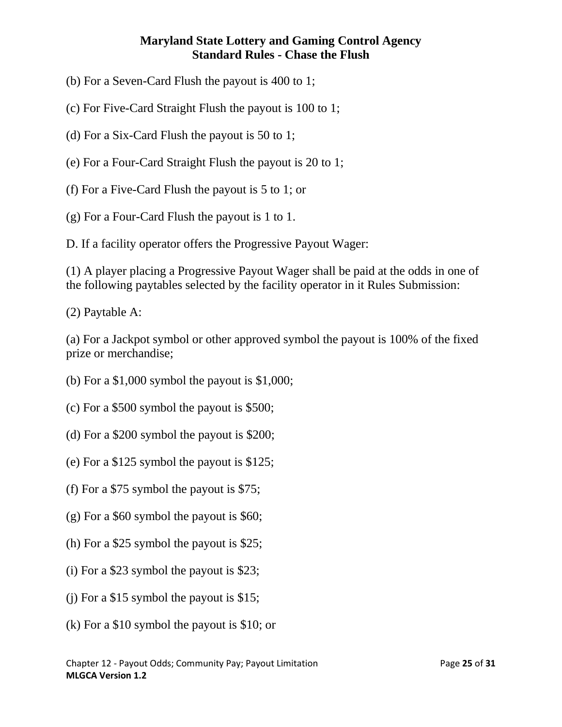- (b) For a Seven-Card Flush the payout is 400 to 1;
- (c) For Five-Card Straight Flush the payout is 100 to 1;
- (d) For a Six-Card Flush the payout is 50 to 1;
- (e) For a Four-Card Straight Flush the payout is 20 to 1;
- (f) For a Five-Card Flush the payout is 5 to 1; or
- (g) For a Four-Card Flush the payout is 1 to 1.
- D. If a facility operator offers the Progressive Payout Wager:

(1) A player placing a Progressive Payout Wager shall be paid at the odds in one of the following paytables selected by the facility operator in it Rules Submission:

(2) Paytable A:

(a) For a Jackpot symbol or other approved symbol the payout is 100% of the fixed prize or merchandise;

- (b) For a \$1,000 symbol the payout is \$1,000;
- (c) For a \$500 symbol the payout is \$500;
- (d) For a \$200 symbol the payout is \$200;
- (e) For a \$125 symbol the payout is \$125;
- (f) For a \$75 symbol the payout is \$75;
- (g) For a \$60 symbol the payout is \$60;
- (h) For a \$25 symbol the payout is \$25;
- (i) For a \$23 symbol the payout is \$23;
- (j) For a \$15 symbol the payout is \$15;
- (k) For a \$10 symbol the payout is \$10; or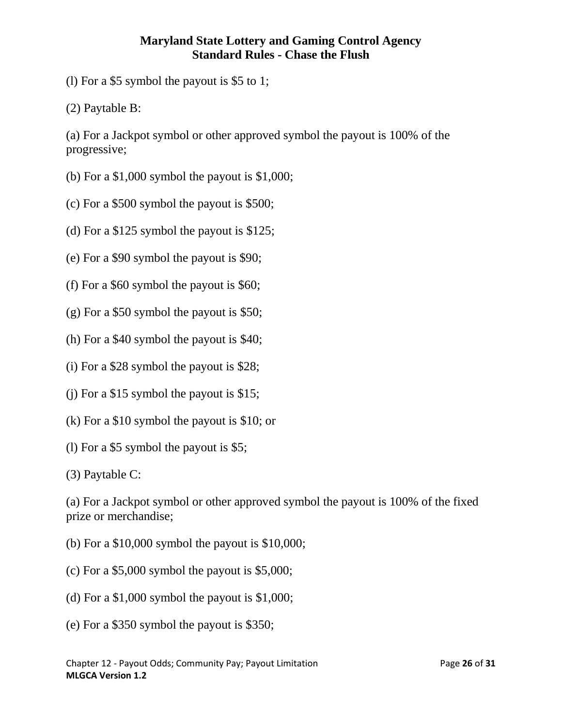(l) For a \$5 symbol the payout is \$5 to 1;

(2) Paytable B:

(a) For a Jackpot symbol or other approved symbol the payout is 100% of the progressive;

- (b) For a \$1,000 symbol the payout is \$1,000;
- (c) For a \$500 symbol the payout is \$500;
- (d) For a \$125 symbol the payout is \$125;
- (e) For a \$90 symbol the payout is \$90;
- (f) For a \$60 symbol the payout is \$60;
- (g) For a \$50 symbol the payout is \$50;
- (h) For a \$40 symbol the payout is \$40;
- (i) For a \$28 symbol the payout is \$28;
- (j) For a \$15 symbol the payout is \$15;
- (k) For a \$10 symbol the payout is \$10; or
- (l) For a \$5 symbol the payout is \$5;

(3) Paytable C:

(a) For a Jackpot symbol or other approved symbol the payout is 100% of the fixed prize or merchandise;

- (b) For a \$10,000 symbol the payout is \$10,000;
- (c) For a \$5,000 symbol the payout is \$5,000;
- (d) For a \$1,000 symbol the payout is \$1,000;
- (e) For a \$350 symbol the payout is \$350;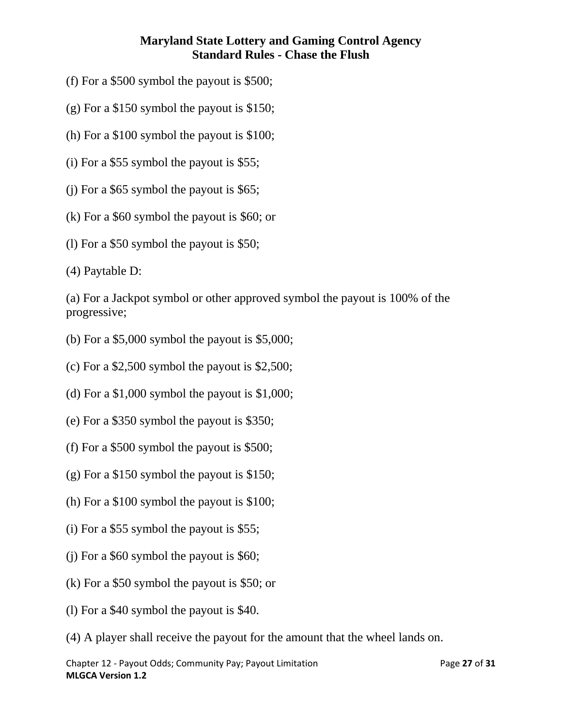- (f) For a \$500 symbol the payout is \$500;
- (g) For a \$150 symbol the payout is \$150;
- (h) For a \$100 symbol the payout is \$100;
- (i) For a \$55 symbol the payout is \$55;
- (j) For a \$65 symbol the payout is \$65;
- (k) For a \$60 symbol the payout is \$60; or
- (l) For a \$50 symbol the payout is \$50;

(4) Paytable D:

(a) For a Jackpot symbol or other approved symbol the payout is 100% of the progressive;

- (b) For a  $$5,000$  symbol the payout is  $$5,000$ ;
- (c) For a \$2,500 symbol the payout is \$2,500;
- (d) For a \$1,000 symbol the payout is \$1,000;
- (e) For a \$350 symbol the payout is \$350;
- (f) For a \$500 symbol the payout is \$500;
- (g) For a \$150 symbol the payout is \$150;
- (h) For a \$100 symbol the payout is \$100;
- (i) For a \$55 symbol the payout is \$55;
- (j) For a \$60 symbol the payout is \$60;
- (k) For a \$50 symbol the payout is \$50; or
- (l) For a \$40 symbol the payout is \$40.
- (4) A player shall receive the payout for the amount that the wheel lands on.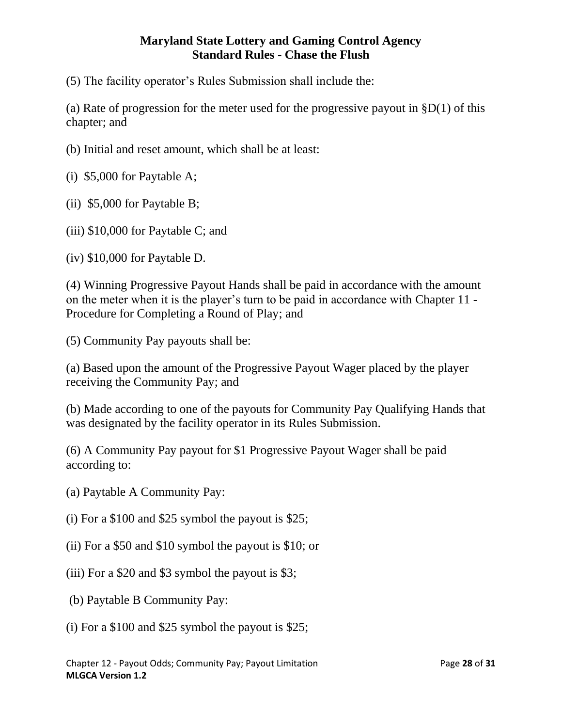(5) The facility operator's Rules Submission shall include the:

(a) Rate of progression for the meter used for the progressive payout in  $$D(1)$  of this chapter; and

(b) Initial and reset amount, which shall be at least:

(i) \$5,000 for Paytable A;

(ii) \$5,000 for Paytable B;

(iii) \$10,000 for Paytable C; and

(iv) \$10,000 for Paytable D.

(4) Winning Progressive Payout Hands shall be paid in accordance with the amount on the meter when it is the player's turn to be paid in accordance with Chapter 11 - Procedure for Completing a Round of Play; and

(5) Community Pay payouts shall be:

(a) Based upon the amount of the Progressive Payout Wager placed by the player receiving the Community Pay; and

(b) Made according to one of the payouts for Community Pay Qualifying Hands that was designated by the facility operator in its Rules Submission.

(6) A Community Pay payout for \$1 Progressive Payout Wager shall be paid according to:

(a) Paytable A Community Pay:

(i) For a \$100 and \$25 symbol the payout is \$25;

- (ii) For a \$50 and \$10 symbol the payout is \$10; or
- (iii) For a \$20 and \$3 symbol the payout is \$3;
- (b) Paytable B Community Pay:
- (i) For a \$100 and \$25 symbol the payout is \$25;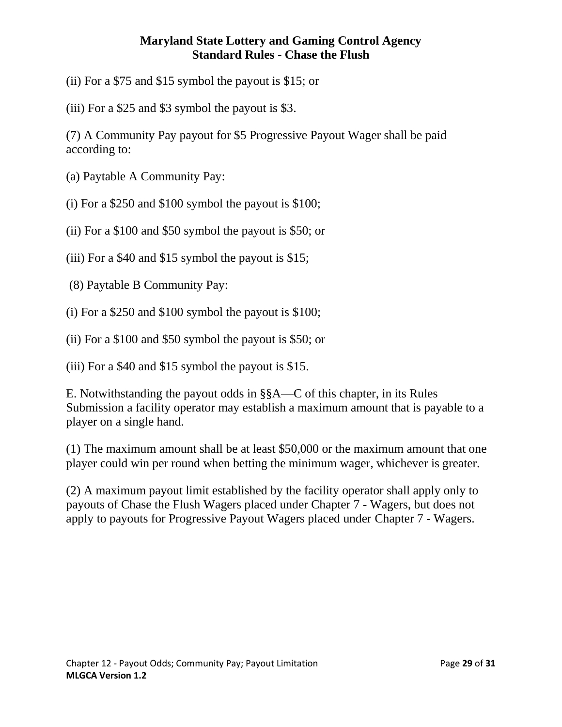(ii) For a \$75 and \$15 symbol the payout is \$15; or

(iii) For a \$25 and \$3 symbol the payout is \$3.

(7) A Community Pay payout for \$5 Progressive Payout Wager shall be paid according to:

- (a) Paytable A Community Pay:
- (i) For a \$250 and \$100 symbol the payout is \$100;
- (ii) For a \$100 and \$50 symbol the payout is \$50; or
- (iii) For a \$40 and \$15 symbol the payout is \$15;
- (8) Paytable B Community Pay:
- (i) For a \$250 and \$100 symbol the payout is \$100;
- (ii) For a \$100 and \$50 symbol the payout is \$50; or

(iii) For a \$40 and \$15 symbol the payout is \$15.

E. Notwithstanding the payout odds in §§A—C of this chapter, in its Rules Submission a facility operator may establish a maximum amount that is payable to a player on a single hand.

(1) The maximum amount shall be at least \$50,000 or the maximum amount that one player could win per round when betting the minimum wager, whichever is greater.

<span id="page-28-0"></span>(2) A maximum payout limit established by the facility operator shall apply only to payouts of Chase the Flush Wagers placed under Chapter 7 - Wagers, but does not apply to payouts for Progressive Payout Wagers placed under Chapter 7 - Wagers.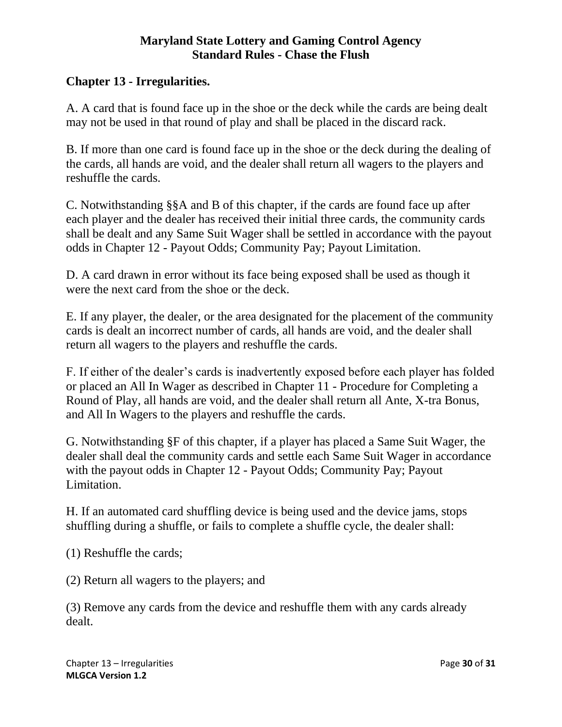# **Chapter 13 - Irregularities.**

A. A card that is found face up in the shoe or the deck while the cards are being dealt may not be used in that round of play and shall be placed in the discard rack.

B. If more than one card is found face up in the shoe or the deck during the dealing of the cards, all hands are void, and the dealer shall return all wagers to the players and reshuffle the cards.

C. Notwithstanding §§A and B of this chapter, if the cards are found face up after each player and the dealer has received their initial three cards, the community cards shall be dealt and any Same Suit Wager shall be settled in accordance with the payout odds in Chapter 12 - Payout Odds; Community Pay; Payout Limitation.

D. A card drawn in error without its face being exposed shall be used as though it were the next card from the shoe or the deck.

E. If any player, the dealer, or the area designated for the placement of the community cards is dealt an incorrect number of cards, all hands are void, and the dealer shall return all wagers to the players and reshuffle the cards.

F. If either of the dealer's cards is inadvertently exposed before each player has folded or placed an All In Wager as described in Chapter 11 - Procedure for Completing a Round of Play, all hands are void, and the dealer shall return all Ante, X-tra Bonus, and All In Wagers to the players and reshuffle the cards.

G. Notwithstanding §F of this chapter, if a player has placed a Same Suit Wager, the dealer shall deal the community cards and settle each Same Suit Wager in accordance with the payout odds in Chapter 12 - Payout Odds; Community Pay; Payout Limitation.

H. If an automated card shuffling device is being used and the device jams, stops shuffling during a shuffle, or fails to complete a shuffle cycle, the dealer shall:

(1) Reshuffle the cards;

(2) Return all wagers to the players; and

(3) Remove any cards from the device and reshuffle them with any cards already dealt.